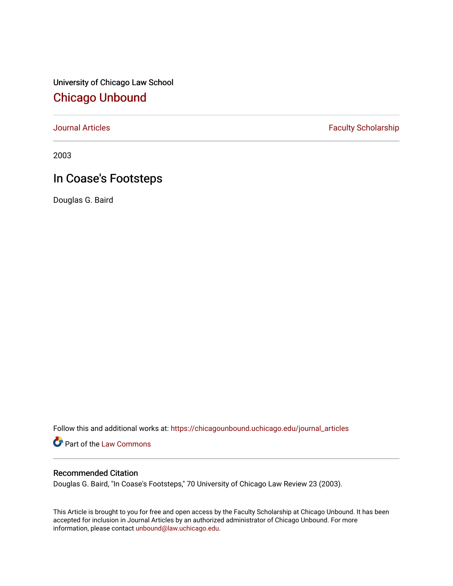University of Chicago Law School [Chicago Unbound](https://chicagounbound.uchicago.edu/)

[Journal Articles](https://chicagounbound.uchicago.edu/journal_articles) **Faculty Scholarship Faculty Scholarship** 

2003

# In Coase's Footsteps

Douglas G. Baird

Follow this and additional works at: [https://chicagounbound.uchicago.edu/journal\\_articles](https://chicagounbound.uchicago.edu/journal_articles?utm_source=chicagounbound.uchicago.edu%2Fjournal_articles%2F1027&utm_medium=PDF&utm_campaign=PDFCoverPages) 

Part of the [Law Commons](http://network.bepress.com/hgg/discipline/578?utm_source=chicagounbound.uchicago.edu%2Fjournal_articles%2F1027&utm_medium=PDF&utm_campaign=PDFCoverPages)

## Recommended Citation

Douglas G. Baird, "In Coase's Footsteps," 70 University of Chicago Law Review 23 (2003).

This Article is brought to you for free and open access by the Faculty Scholarship at Chicago Unbound. It has been accepted for inclusion in Journal Articles by an authorized administrator of Chicago Unbound. For more information, please contact [unbound@law.uchicago.edu](mailto:unbound@law.uchicago.edu).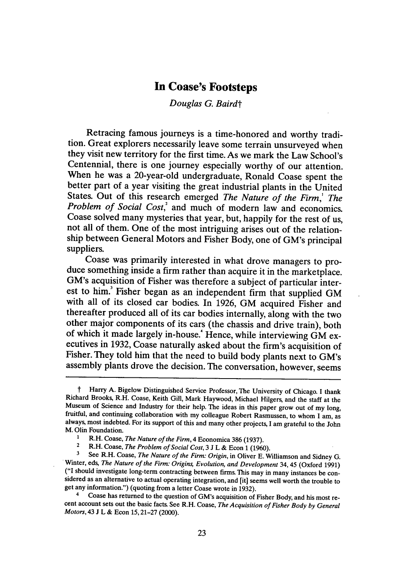## **In Coase's Footsteps**

*Douglas G. Bairdt*

Retracing famous journeys is a time-honored and worthy tradition. Great explorers necessarily leave some terrain unsurveyed when they visit new territory for the first time. As we mark the Law School's Centennial, there is one journey especially worthy of our attention. When he was a 20-year-old undergraduate, Ronald Coase spent the better part of a year visiting the great industrial plants in the United States. Out of this research emerged *The Nature of the Firm,' The Problem of Social Cost,'* and much of modern law and economics. Coase solved many mysteries that year, but, happily for the rest of us, not all of them. One of the most intriguing arises out of the relationship between General Motors and Fisher Body, one of GM's principal suppliers.<br>Coase was primarily interested in what drove managers to pro-

duce something inside a firm rather than acquire it in the marketplace. GM's acquisition of Fisher was therefore a subject of particular interest to him.<sup>3</sup> Fisher began as an independent firm that supplied GM with all of its closed car bodies. In 1926, GM acquired Fisher and thereafter produced all of its car bodies internally, along with the two other major components of its cars (the chassis and drive train), both of which it made largely in-house.' Hence, while interviewing GM executives in 1932, Coase naturally asked about the firm's acquisition of Fisher. They told him that the need to build body plants next to GM's assembly plants drove the decision. The conversation, however, seems

**<sup>3</sup>**See R.H. Coase, *The Nature of the Firm: Origin,* in Oliver E. Williamson and Sidney G. Winter, eds, *The Nature of the Firm: Origins, Evolution, and Development* 34, 45 (Oxford 1991) ("I should investigate long-term contracting between firms. This may in many instances be con- sidered as an alternative to actual operating integration, and [it] seems well worth the trouble to get any information.") (quoting from a letter Coase wrote in 1932).<br>4 Coase has returned to the question of GM's acquisition of Fisher Body, and his most re-

<sup>&</sup>lt;sup>†</sup> Harry A. Bigelow Distinguished Service Professor, The University of Chicago. I thank Richard Brooks, R.H. Coase, Keith Gill, Mark Haywood, Michael Hilgers, and the staff at the fruitful, and continuing collaboration with my colleague Robert Rasmussen, to whom I am, as always, most indebted. For its support of this and many other projects, I am grateful to the John M. Olin Foundation.

**<sup>1</sup>** R.H. Coase, *The Nature of the Firm,* 4 Economica 386 (1937).

**<sup>2</sup>**R.H. Coase, *The Problem of Social Cost,* 3 J L & Econ **1** (1960).

cent account sets out the basic facts. See R.H. Coase, *The Acquisition of Fisher Body by General Motors,* 43 J L & Econ 15,21-27 (2000).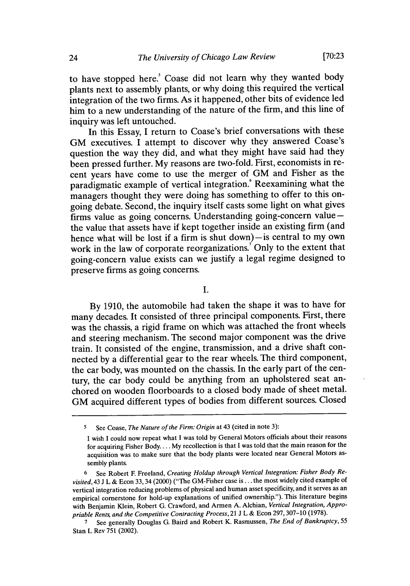to have stopped here.' Coase did not learn why they wanted body plants next to assembly plants, or why doing this required the vertical integration of the two firms. As it happened, other bits of evidence led him to a new understanding of the nature of the firm, and this line of inquiry was left untouched.

In this Essay, I return to Coase's brief conversations with these GM executives. I attempt to discover why they answered Coase's question the way they did, and what they might have said had they been pressed further. My reasons are two-fold. First, economists in recent years have come to use the merger of GM and Fisher as the paradigmatic example of vertical integration.<sup>8</sup> Reexamining what the managers thought they were doing has something to offer to this ongoing debate. Second, the inquiry itself casts some light on what gives firms value as going concerns. Understanding going-concern valuethe value that assets have if kept together inside an existing firm (and hence what will be lost if a firm is shut down) $-$  is central to my own work in the law of corporate reorganizations.<sup>7</sup> Only to the extent that going-concern value exists can we justify a legal regime designed to preserve firms as going concerns.

I.

By 1910, the automobile had taken the shape it was to have for many decades. It consisted of three principal components. First, there was the chassis, a rigid frame on which was attached the front wheels and steering mechanism. The second major component was the drive train. It consisted of the engine, transmission, and a drive shaft connected by a differential gear to the rear wheels. The third component, the car body, was mounted on the chassis. In the early part of the century, the car body could be anything from an upholstered seat anchored on wooden floorboards to a closed body made of sheet metal. GM acquired different types of bodies from different sources. Closed

**<sup>5</sup>** See Coase, *The Nature of the Firm: Origin* at 43 (cited in note 3):

I wish I could now repeat what I was told by General Motors officials about their reasons for acquiring Fisher Body.... My recollection is that I was told that the main reason for the acquisition was to make sure that the body plants were located near General Motors assembly plants.

**<sup>6</sup>** See Robert F. Freeland, *Creating Holdup through Vertical Integration: Fisher Body Revisited,* 43 J L & Econ 33,34 (2000) ("The GM-Fisher case is... the most widely cited example of vertical integration reducing problems of physical and human asset specificity, and it serves as an empirical cornerstone for hold-up explanations of unified ownership."). This literature begins with Benjamin Klein, Robert G. Crawford, and Armen A. Alchian, *Vertical Integration, Appropriable Rents, and the Competitive Contracting Process,* 21 J L & Econ 297,307-10 (1978).

**<sup>7</sup>**See generally Douglas G. Baird and Robert K. Rasmussen, *The End of Bankruptcy,* <sup>55</sup> Stan L Rev 751 (2002).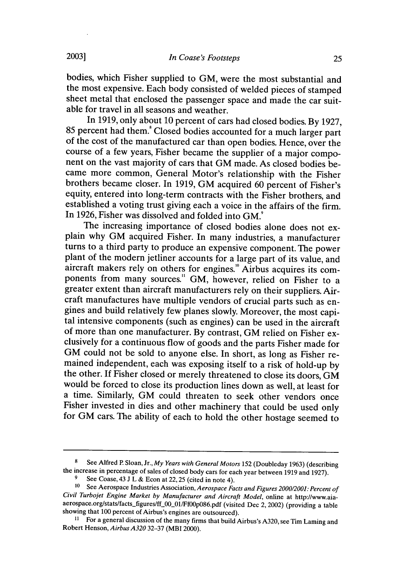bodies, which Fisher supplied to GM, were the most substantial and the most expensive. Each body consisted of welded pieces of stamped sheet metal that enclosed the passenger space and made the car suitable for travel in all seasons and weather.

In 1919, only about 10 percent of cars had closed bodies. By 1927, 85 percent had them.<sup>8</sup> Closed bodies accounted for a much larger part of the cost of the manufactured car than open bodies. Hence, over the course of a few years, Fisher became the supplier of a major component on the vast majority of cars that GM made. As closed bodies became more common, General Motor's relationship with the Fisher brothers became closer. In 1919, GM acquired 60 percent of Fisher's equity, entered into long-term contracts with the Fisher brothers, and established a voting trust giving each a voice in the affairs of the firm. In 1926, Fisher was dissolved and folded into GM.<sup>9</sup>

The increasing importance of closed bodies alone does not explain why GM acquired Fisher. In many industries, a manufacturer turns to a third party to produce an expensive component. The power plant of the modern jetliner accounts for a large part of its value, and aircraft makers rely on others for engines.<sup>10</sup> Airbus acquires its components from many sources." GM, however, relied on Fisher to a greater extent than aircraft manufacturers rely on their suppliers. Aircraft manufactures have multiple vendors of crucial parts such as engines and build relatively few planes slowly. Moreover, the most capital intensive components (such as engines) can be used in the aircraft of more than one manufacturer. By contrast, GM relied on Fisher exclusively for a continuous flow of goods and the parts Fisher made for GM could not be sold to anyone else. In short, as long as Fisher remained independent, each was exposing itself to a risk of hold-up by the other. If Fisher closed or merely threatened to close its doors, GM would be forced to close its production lines down as well, at least for a time. Similarly, GM could threaten to seek other vendors once Fisher invested in dies and other machinery that could be used only for GM cars. The ability of each to hold the other hostage seemed to

<sup>8</sup>See Alfred P Sloan, Jr., *My Years with General Motors* 152 (Doubleday 1963) (describing the increase in percentage of sales of closed body cars for each year between 1919 and 1927).

**<sup>9</sup>** See Coase, 43 J L & Econ at 22,25 (cited in note 4).

**<sup>10</sup>** See Aerospace Industries Association, *Aerospace Facts and Figures 2000/2001: Percent of Civil Turbojet Engine Market by Manufacturer and Aircraft Model,* online at http://www.aiaaerospace.org/stats/facts\_figures/ff\_00\_01/Ff00p086.pdf (visited Dec 2, 2002) (providing a table showing that 100 percent of Airbus's engines are outsourced).

<sup>11</sup> For a general discussion of the many firms that build Airbus's A320, see Tim Laming and Robert Henson, *Airbus A320* 32-37 (MBI 2000).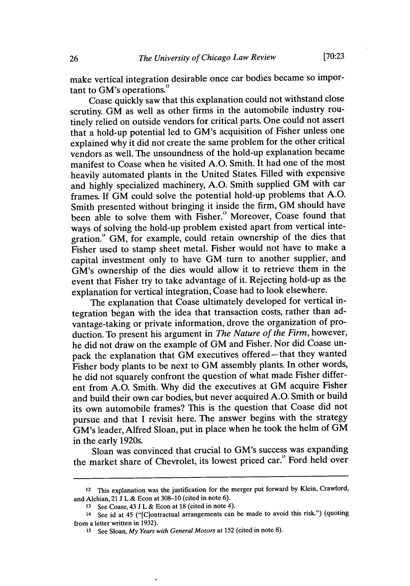make vertical integration desirable once car bodies became so important to GM's operations.<sup>12</sup>

Coase quickly saw that this explanation could not withstand close scrutiny. GM as well as other firms in the automobile industry routinely relied on outside vendors for critical parts. One could not assert that a hold-up potential led to GM's acquisition of Fisher unless one explained why it did not create the same problem for the other critical vendors as well. The unsoundness of the hold-up explanation became manifest to Coase when he visited A.O. Smith. It had one of the most heavily automated plants in the United States. Filled with expensive and highly specialized machinery, A.O. Smith supplied GM with car frames. If GM could solve the potential hold-up problems that A.O. Smith presented without bringing it inside the firm, GM should have been able to solve them with Fisher." Moreover, Coase found that ways of solving the hold-up problem existed apart from vertical integration." GM, for example, could retain ownership of the dies that Fisher used to stamp sheet metal. Fisher would not have to make a capital investment only to have GM turn to another supplier, and GM's ownership of the dies would allow it to retrieve them in the event that Fisher try to take advantage of it. Rejecting hold-up as the explanation for vertical integration, Coase had to look elsewhere.

The explanation that Coase ultimately developed for vertical integration began with the idea that transaction costs, rather than advantage-taking or private information, drove the organization of production. To present his argument in *The Nature of the Firm,* however, he did not draw on the example of GM and Fisher. Nor did Coase unpack the explanation that GM executives offered-that they wanted Fisher body plants to be next to GM assembly plants. In other words, he did not squarely confront the question of what made Fisher different from A.O. Smith. Why did the executives at GM acquire Fisher and build their own car bodies, but never acquired A.O. Smith or build its own automobile frames? This is the question that Coase did not pursue and that I revisit here. The answer begins with the strategy GM's leader, Alfred Sloan, put in place when he took the helm of GM in the early 1920s.

Sloan was convinced that crucial to GM's success was expanding the market share of Chevrolet, its lowest priced car." Ford held over

<sup>12</sup>This explanation was the justification for the merger put forward **by** Klein, Crawford, and Alchian, 21 **J** L & Econ at 308-10 (cited in note 6).

**<sup>13</sup>** See Coase, 43 J L & Econ at 18 (cited in note 4).

<sup>14</sup> See id at 45 ("[C]ontractual arrangements can be made to avoid this risk.") (quoting from a letter written in 1932).

**<sup>15</sup>**See Sloan, *My Years with General Motors* at 152 (cited in note 8).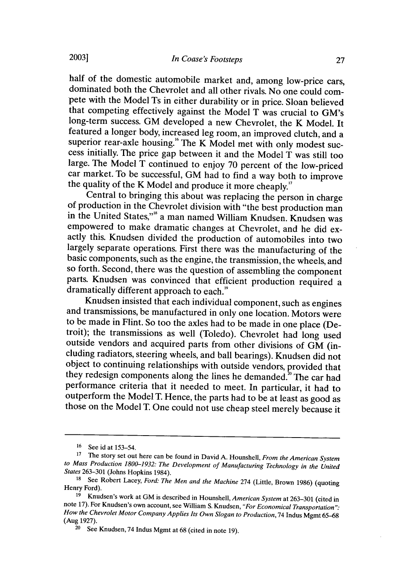half of the domestic automobile market and, among low-price cars, dominated both the Chevrolet and all other rivals. No one could compete with the Model Ts in either durability or in price. Sloan believed that competing effectively against the Model T was crucial to GM's long-term success. GM developed a new Chevrolet, the K Model. It featured a longer body, increased leg room, an improved clutch, and a superior rear-axle housing.<sup>16</sup> The K Model met with only modest success initially. The price gap between it and the Model  $\tilde{T}$  was still too large. The Model T continued to enjoy 70 percent of the low-priced car market. To be successful, GM had to find a way both to improve the quality of the K Model and produce it more cheaply."<br>Central to bringing this about was replacing the person in charge

of production in the Chevrolet division with "the best production man in the United States,"'8 a man named William Knudsen. Knudsen was empowered to make dramatic changes at Chevrolet, and he did exactly this. Knudsen divided the production of automobiles into two largely separate operations. First there was the manufacturing of the basic components, such as the engine, the transmission, the wheels, and so forth. Second, there was the question of assembling the component parts. Knudsen was convinced that efficient production required a dramatically different approach to each."

Knudsen insisted that each individual component, such as engines and transmissions, be manufactured in only one location. Motors were to be made in Flint. So too the axles had to be made in one place (De- troit); the transmissions as well (Toledo). Chevrolet had long used outside vendors and acquired parts from other divisions of GM (in- cluding radiators, steering wheels, and ball bearings). Knudsen did not object to continuing relationships with outside vendors, provided that they redesign components along the lines he demanded.<sup>20</sup> The car had performance criteria that it needed to meet. In particular, it had to outperform the Model T. Hence, the parts had to be at least as good as those on the Model T. One could not use cheap steel merely because it

**<sup>16</sup>** See id at 153-54.

**<sup>17</sup>**The story set out here can be found in David A. Hounshell, *From the American System to Mass Production 1800-1932: The Development of Manufacturing Technology in the United States* 263-301 (Johns Hopkins 1984).

**<sup>18</sup>**See Robert Lacey, *Ford: The Men* and *the Machine* 274 (Little, Brown 1986) (quoting Henry Ford).

**<sup>19</sup>**Knudsen's work at GM is described in Hounshell, *American System* at 263-301 (cited in note 17). For Knudsen's own account, see William **S.** Knudsen, *"For Economical Transportation": How the Chevrolet Motor Company Applies Its Own Slogan to Production,* 74 Indus Mgmt 65-68 (Aug 1927).

<sup>&</sup>lt;sup>20</sup> See Knudsen, 74 Indus Mgmt at 68 (cited in note 19).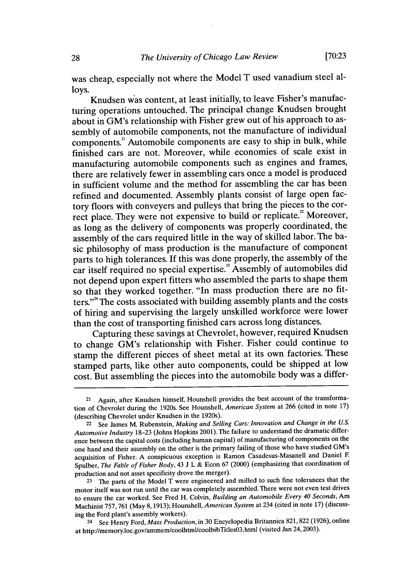was cheap, especially not where the Model T used vanadium steel alloys.

Knudsen was content, at least initially, to leave Fisher's manufacturing operations untouched. The principal change Knudsen brought about in GM's relationship with Fisher grew out of his approach to assembly of automobile components, not the manufacture of individual components.<sup>21</sup> Automobile components are easy to ship in bulk, while finished cars are not. Moreover, while economies of scale exist in manufacturing automobile components such as engines and frames, there are relatively fewer in assembling cars once a model is produced in sufficient volume and the method for assembling the car has been refined and documented. Assembly plants consist of large open factory floors with conveyers and pulleys that bring the pieces to the correct place. They were not expensive to build or replicate." Moreover, as long as the delivery of components was properly coordinated, the assembly of the cars required little in the way of skilled labor. The basic philosophy of mass production is the manufacture of component parts to high tolerances. If this was done properly, the assembly of the car itself required no special expertise." Assembly of automobiles did not depend upon expert fitters who assembled the parts to shape them so that they worked together. "In mass production there are no fitters."<sup>24</sup> The costs associated with building assembly plants and the costs of hiring and supervising the largely unskilled workforce were lower than the cost of transporting finished cars across long distances.

Capturing these savings at Chevrolet, however, required Knudsen to change GM's relationship with Fisher. Fisher could continue to stamp the different pieces of sheet metal at its own factories. These stamped parts, like other auto components, could be shipped at low cost. But assembling the pieces into the automobile body was a differ-

**<sup>23</sup>**The parts of the Model T were engineered and milled to such fine tolerances that the motor itself was not run until the car was completely assembled. There were not even test drives to ensure the car worked. See Fred H. Colvin, *Building an Automobile Every 40 Seconds,* Am Machinist 757,761 (May 8,1913); Hounshell, *American System* at 234 (cited in note 17) (discussing the Ford plant's assembly workers).

24 See Henry Ford, *Mass Production,* in 30 Encyclopedia Britannica 821,822 (1926), online at http://memory.loc.gov/ammem/coolhtml/coolbibTitlesO3.html (visited Jan 24, 2003).

<sup>21</sup> Again, after Knudsen himself, Hounshell provides the best account of the transformation of Chevrolet during the 1920s. See Hounshell, *American System* at 266 (cited in note 17) (describing Chevrolet under Knudsen in the 1920s).

<sup>22</sup> See James M. Rubenstein, *Making and Selling Cars: Innovation and Change in the US. Automotive Industry* 18-23 (Johns Hopkins 2001). The failure to understand the dramatic difference between the capital costs (including human capital) of manufacturing of components on the one hand and their assembly on the other is the primary failing of those who have studied GM's acquisition of Fisher. A conspicuous exception is Ramon Casadesus-Masanell and Daniel F Spulber, *The Fable of Fisher Body,* 43 J L & Econ 67 (2000) (emphasizing that coordination of production and not asset specificity drove the merger).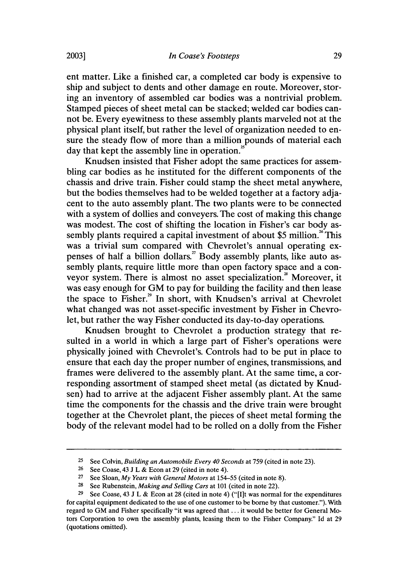ent matter. Like a finished car, a completed car body is expensive to ship and subject to dents and other damage en route. Moreover, storing an inventory of assembled car bodies was a nontrivial problem. Stamped pieces of sheet metal can be stacked; welded car bodies cannot be. Every eyewitness to these assembly plants marveled not at the physical plant itself, but rather the level of organization needed to ensure the steady flow of more than a million pounds of material each day that kept the assembly line in operation.<sup>2</sup>

Knudsen insisted that Fisher adopt the same practices for assembling car bodies as he instituted for the different components of the chassis and drive train. Fisher could stamp the sheet metal anywhere, but the bodies themselves had to be welded together at a factory adjacent to the auto assembly plant. The two plants were to be connected with a system of dollies and conveyers. The cost of making this change was modest. The cost of shifting the location in Fisher's car body assembly plants required a capital investment of about \$5 million.<sup>26</sup> This was a trivial sum compared with Chevrolet's annual operating expenses of half a billion dollars." Body assembly plants, like auto assembly plants, require little more than open factory space and a conveyor system. There is almost no asset specialization." Moreover, it was easy enough for GM to pay for building the facility and then lease the space to Fisher." In short, with Knudsen's arrival at Chevrolet what changed was not asset-specific investment by Fisher in Chevrolet, but rather the way Fisher conducted its day-to-day operations.

Knudsen brought to Chevrolet a production strategy that resulted in a world in which a large part of Fisher's operations were physically joined with Chevrolet's. Controls had to be put in place to ensure that each day the proper number of engines, transmissions, and frames were delivered to the assembly plant. At the same time, a corresponding assortment of stamped sheet metal (as dictated by Knudsen) had to arrive at the adjacent Fisher assembly plant. At the same time the components for the chassis and the drive train were brought together at the Chevrolet plant, the pieces of sheet metal forming the body of the relevant model had to be rolled on a dolly from the Fisher

**<sup>25</sup>**See Colvin, *Building an Automobile Every 40 Seconds* at 759 (cited in note 23).

<sup>&</sup>lt;sup>26</sup> See Coase, 43 J L & Econ at 29 (cited in note 4).

<sup>&</sup>lt;sup>27</sup> See Sloan, *My Years with General Motors* at 154-55 (cited in note 8).

**<sup>28</sup>**See Rubenstein, *Making and Selling Cars* at 101 (cited in note 22).

<sup>&</sup>lt;sup>29</sup> See Coase, 43 J L & Econ at 28 (cited in note 4) ("[I]t was normal for the expenditures for capital equipment dedicated to the use of one customer to be borne by that customer."). With regard to GM and Fisher specifically "it was agreed that ... it would be better for General Motors Corporation to own the assembly plants, leasing them to the Fisher Company." Id at 29 (quotations omitted).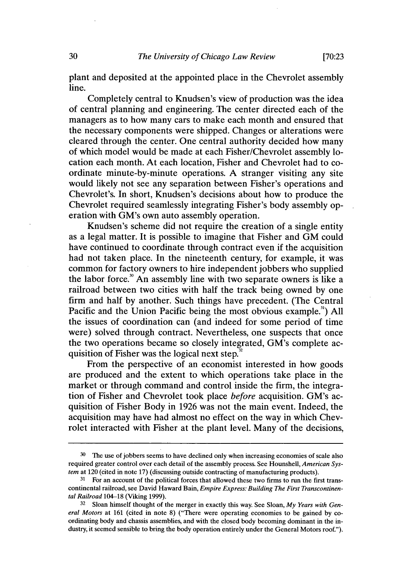plant and deposited at the appointed place in the Chevrolet assembly line.

Completely central to Knudsen's view of production was the idea of central planning and engineering. The center directed each of the managers as to how many cars to make each month and ensured that the necessary components were shipped. Changes or alterations were cleared through the center. One central authority decided how many of which model would be made at each Fisher/Chevrolet assembly location each month. At each location, Fisher and Chevrolet had to coordinate minute-by-minute operations. A stranger visiting any site would likely not see any separation between Fisher's operations and Chevrolet's. In short, Knudsen's decisions about how to produce the Chevrolet required seamlessly integrating Fisher's body assembly operation with GM's own auto assembly operation.

Knudsen's scheme did not require the creation of a single entity as a legal matter. It is possible to imagine that Fisher and GM could have continued to coordinate through contract even if the acquisition had not taken place. In the nineteenth century, for example, it was common for factory owners to hire independent jobbers who supplied the labor force.<sup>30</sup> An assembly line with two separate owners is like a railroad between two cities with half the track being owned by one firm and half by another. Such things have precedent. (The Central Pacific and the Union Pacific being the most obvious example.<sup>31</sup>) All the issues of coordination can (and indeed for some period of time were) solved through contract. Nevertheless, one suspects that once the two operations became so closely integrated, GM's complete acquisition of Fisher was the logical next step.<sup>3</sup>

From the perspective of an economist interested in how goods are produced and the extent to which operations take place in the market or through command and control inside the firm, the integration of Fisher and Chevrolet took place *before* acquisition. GM's acquisition of Fisher Body in 1926 was not the main event. Indeed, the acquisition may have had almost no effect on the way in which Chevrolet interacted with Fisher at the plant level. Many of the decisions,

**<sup>30</sup>**The use of jobbers seems to have declined only when increasing economies of scale also required greater control over each detail of the assembly process. See Hounshell, *American System* at 120 (cited in note 17) (discussing outside contracting of manufacturing products).

<sup>&</sup>lt;sup>31</sup> For an account of the political forces that allowed these two firms to run the first transcontinental railroad, see David Haward Bain, *Empire Express: Building The First Transcontinental Railroad* 104-18 (Viking 1999).

<sup>32</sup> Sloan himself thought of the merger in exactly this way. See Sloan, *My Years with General Motors* at 161 (cited in note 8) ("There were operating economies to be gained by coordinating body and chassis assemblies, and with the closed body becoming dominant in the industry, it seemed sensible to bring the body operation entirely under the General Motors roof").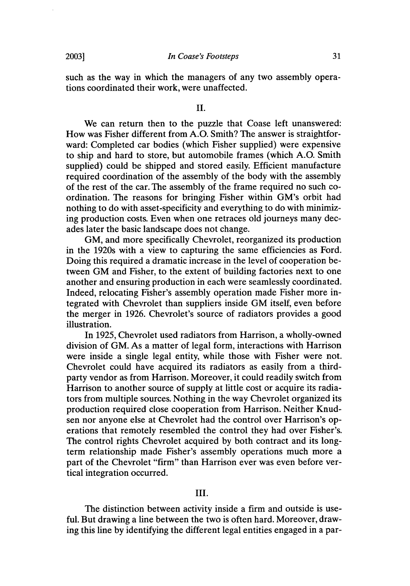### II.

We can return then to the puzzle that Coase left unanswered: How was Fisher different from A.O. Smith? The answer is straightforward: Completed car bodies (which Fisher supplied) were expensive to ship and hard to store, but automobile frames (which A.O. Smith supplied) could be shipped and stored easily. Efficient manufacture required coordination of the assembly of the body with the assembly of the rest of the car. The assembly of the frame required no such coordination. The reasons for bringing Fisher within GM's orbit had nothing to do with asset-specificity and everything to do with minimizing production costs. Even when one retraces old journeys many decades later the basic landscape does not change.

GM, and more specifically Chevrolet, reorganized its production in the 1920s with a view to capturing the same efficiencies as Ford. Doing this required a dramatic increase in the level of cooperation between GM and Fisher, to the extent of building factories next to one another and ensuring production in each were seamlessly coordinated. Indeed, relocating Fisher's assembly operation made Fisher more integrated with Chevrolet than suppliers inside GM itself, even before the merger in 1926. Chevrolet's source of radiators provides a good illustration.

In 1925, Chevrolet used radiators from Harrison, a wholly-owned division of GM. As a matter of legal form, interactions with Harrison were inside a single legal entity, while those with Fisher were not. Chevrolet could have acquired its radiators as easily from a thirdparty vendor as from Harrison. Moreover, it could readily switch from Harrison to another source of supply at little cost or acquire its radiators from multiple sources. Nothing in the way Chevrolet organized its production required close cooperation from Harrison. Neither Knudsen nor anyone else at Chevrolet had the control over Harrison's operations that remotely resembled the control they had over Fisher's. The control rights Chevrolet acquired by both contract and its longterm relationship made Fisher's assembly operations much more a part of the Chevrolet "firm" than Harrison ever was even before vertical integration occurred.

#### III.

The distinction between activity inside a firm and outside is useful. But drawing a line between the two is often hard. Moreover, drawing this line by identifying the different legal entities engaged in a par-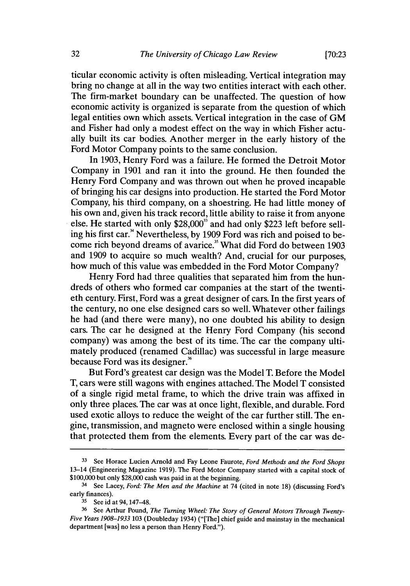ticular economic activity is often misleading. Vertical integration may bring no change at all in the way two entities interact with each other. The firm-market boundary can be unaffected. The question of how economic activity is organized is separate from the question of which legal entities own which assets. Vertical integration in the case of GM and Fisher had only a modest effect on the way in which Fisher actually built its car bodies. Another merger in the early history of the Ford Motor Company points to the same conclusion.

In 1903, Henry Ford was a failure. He formed the Detroit Motor Company in 1901 and ran it into the ground. He then founded the Henry Ford Company and was thrown out when he proved incapable of bringing his car designs into production. He started the Ford Motor Company, his third company, on a shoestring. He had little money of his own and, given his track record, little ability to raise it from anyone else. He started with only \$28,000<sup>35</sup> and had only \$223 left before selling his first car." Nevertheless, by 1909 Ford was rich and poised to become rich beyond dreams of avarice." What did Ford do between 1903 and 1909 to acquire so much wealth? And, crucial for our purposes, how much of this value was embedded in the Ford Motor Company?

Henry Ford had three qualities that separated him from the hundreds of others who formed car companies at the start of the twentieth century. First, Ford was a great designer of cars. In the first years of the century, no one else designed cars so well. Whatever other failings he had (and there were many), no one doubted his ability to design cars. The car he designed at the Henry Ford Company (his second company) was among the best of its time. The car the company ultimately produced (renamed Cadillac) was successful in large measure because Ford was its designer.<sup>36</sup>

But Ford's greatest car design was the Model T. Before the Model T, cars were still wagons with engines attached. The Model T consisted of a single rigid metal frame, to which the drive train was affixed in only three places. The car was at once light, flexible, and durable. Ford used exotic alloys to reduce the weight of the car further still. The engine, transmission, and magneto were enclosed within a single housing that protected them from the elements. Every part of the car was de-

**<sup>33</sup>**See Horace Lucien Arnold and Fay Leone Faurote, *Ford Methods and the Ford Shops* 13-14 (Engineering Magazine 1919). The Ford Motor Company started with a capital stock of \$100,000 but only \$28,000 cash was paid in at the beginning.

<sup>34</sup> See Lacey, *Ford: The Men and the Machine* at 74 (cited in note 18) (discussing Ford's early finances).

**<sup>35</sup>**See id at 94, 147-48.

**<sup>36</sup>** See Arthur Pound, *The Turning Wheel: The Story of General Motors Through Twenty-Five Years 1908-1933* 103 (Doubleday 1934) ("[The] chief guide and mainstay in the mechanical department [was] no less a person than Henry Ford.").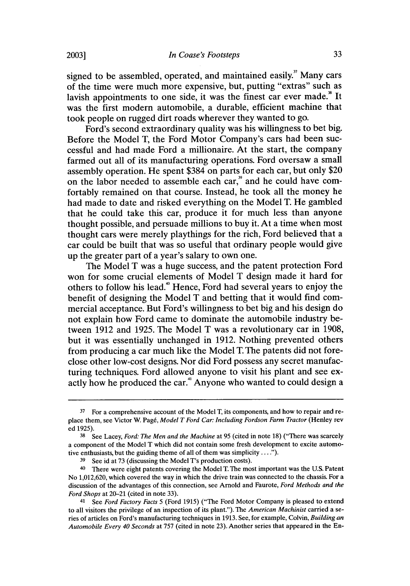signed to be assembled, operated, and maintained easily. $\frac{3}{7}$  Many cars of the time were much more expensive, but, putting "extras" such as lavish appointments to one side, it was the finest car ever made." It was the first modern automobile, a durable, efficient machine that took people on rugged dirt roads wherever they wanted to go.

Ford's second extraordinary quality was his willingness to bet big. Before the Model T, the Ford Motor Company's cars had been successful and had made Ford a millionaire. At the start, the company farmed out all of its manufacturing operations. Ford oversaw a small assembly operation. He spent \$384 on parts for each car, but only \$20 on the labor needed to assemble each car," and he could have comfortably remained on that course. Instead, he took all the money he had made to date and risked everything on the Model T. He gambled that he could take this car, produce it for much less than anyone thought possible, and persuade millions to buy it. At a time when most thought cars were merely playthings for the rich, Ford believed that a car could be built that was so useful that ordinary people would give up the greater part of a year's salary to own one.

The Model T was a huge success, and the patent protection Ford won for some crucial elements of Model T design made it hard for others to follow his lead.4° Hence, Ford had several years to enjoy the benefit of designing the Model T and betting that it would find commercial acceptance. But Ford's willingness to bet big and his design do not explain how Ford came to dominate the automobile industry between **1912** and **1925.** The Model T was a revolutionary car in **1908,** but it was essentially unchanged in **1912.** Nothing prevented others from producing a car much like the Model T. The patents did not foreclose other low-cost designs. Nor did Ford possess any secret manufacturing techniques. Ford allowed anyone to visit his plant and see exactly how he produced the **car.4** Anyone who wanted to could design a

**<sup>37</sup>** For a comprehensive account of the Model T, its components, and how to repair and replace them, see Victor W. Pag6, *Model T Ford Car: Including Fordson Farm Tractor* (Henley rev ed **1925).**

**<sup>38</sup>**See Lacey, *Ford: The Men and the Machine* at **95** (cited in note **18)** ("There was scarcely a component of the Model T which did not contain some fresh development to excite automotive enthusiasts, but the guiding theme of all of them was simplicity ....").

**<sup>39</sup>**See id at **73** (discussing the Model T's production costs).

**<sup>40</sup>**There were eight patents covering the Model **T.** The most important was the **U.S.** Patent No **1,012,620,** which covered the way in which the drive train was connected to the chassis. For a discussion of the advantages of this connection, see Arnold and Faurote, *Ford Methods and the Ford Shops* at 20-21 (cited in note **33).**

**<sup>41</sup>**See *Ford Factory Facts* **5** (Ford **1915)** ("The Ford Motor Company is pleased to extend to all visitors the privilege of an inspection of its plant."). The *American Machinist* carried a se**ries** of articles on Ford's manufacturing techniques in **1913.** See, for example, Colvin, *Building an Automobile Every 40 Seconds* at **757** (cited in note **23).** Another series that appeared in the En-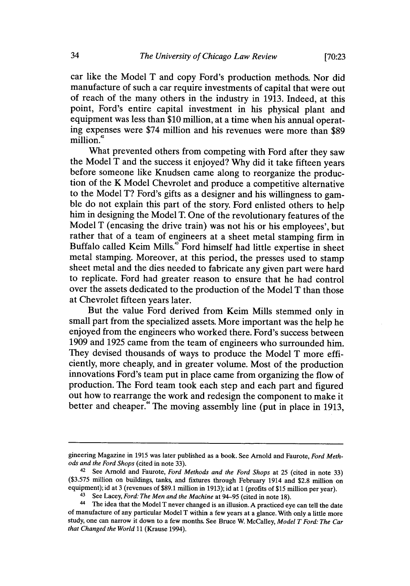car like the Model T and copy Ford's production methods. Nor did manufacture of such a car require investments of capital that were out of reach of the many others in the industry in 1913. Indeed, at this point, Ford's entire capital investment in his physical plant and equipment was less than \$10 million, at a time when his annual operating expenses were \$74 million and his revenues were more than \$89 million.<sup>42</sup>

What prevented others from competing with Ford after they saw the Model T and the success it enjoyed? Why did it take fifteen years before someone like Knudsen came along to reorganize the production of the K Model Chevrolet and produce a competitive alternative to the Model T? Ford's gifts as a designer and his willingness to gamble do not explain this part of the story. Ford enlisted others to help him in designing the Model T. One of the revolutionary features of the Model T (encasing the drive train) was not his or his employees', but rather that of a team of engineers at a sheet metal stamping firm in Buffalo called Keim Mills.<sup>43</sup> Ford himself had little expertise in sheet metal stamping. Moreover, at this period, the presses used to stamp sheet metal and the dies needed to fabricate any given part were hard to replicate. Ford had greater reason to ensure that he had control over the assets dedicated to the production of the Model T than those at Chevrolet fifteen years later.

But the value Ford derived from Keim Mills stemmed only in small part from the specialized assets. More important was the help he enjoyed from the engineers who worked there. Ford's success between 1909 and 1925 came from the team of engineers who surrounded him. They devised thousands of ways to produce the Model T more efficiently, more cheaply, and in greater volume. Most of the production innovations Ford's team put in place came from organizing the flow of production. The Ford team took each step and each part and figured out how to rearrange the work and redesign the component to make it better and cheaper.<sup>44</sup> The moving assembly line (put in place in 1913,

gineering Magazine in 1915 was later published as a book. See Arnold and Faurote, *Ford Methods and the Ford Shops* (cited in note 33).

<sup>&</sup>lt;sup>42</sup> See Arnold and Faurote, *Ford Methods and the Ford Shops* at 25 (cited in note 33) (\$3.575 million on buildings, tanks, and fixtures through February 1914 and \$2.8 million on equipment); id at 3 (revenues of \$89.1 million in 1913); id at **1** (profits of \$15 million per year).

<sup>&</sup>lt;sup>43</sup> See Lacey, *Ford: The Men and the Machine* at 94-95 (cited in note 18).

<sup>&</sup>lt;sup>44</sup> The idea that the Model T never changed is an illusion. A practiced eye can tell the date of manufacture of any particular Model T within a few years at a glance. With only a little more study, one can narrow it down to a few months. See Bruce W. McCalley, *Model T Ford: The Car that Changed the World* 11 (Krause 1994).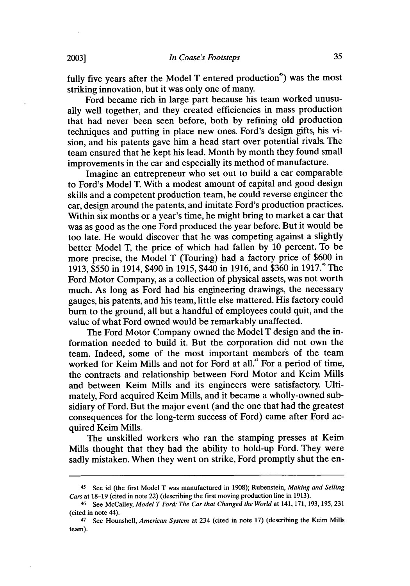fully five years after the Model T entered production  $\degree$ ) was the most striking innovation, but it was only one of many.

Ford became rich in large part because his team worked unusually well together, and they created efficiencies in mass production that had never been seen before, both by refining old production techniques and putting in place new ones. Ford's design gifts, his vision, and his patents gave him a head start over potential rivals. The team ensured that he kept his lead. Month by month they found small improvements in the car and especially its method of manufacture.

Imagine an entrepreneur who set out to build a car comparable to Ford's Model T. With a modest amount of capital and good design skills and a competent production team, he could reverse engineer the car, design around the patents, and imitate Ford's production practices. Within six months or a year's time, he might bring to market a car that was as good as the one Ford produced the year before. But it would be too late. He would discover that he was competing against a slightly better Model T, the price of which had fallen by 10 percent. To be more precise, the Model T (Touring) had a factory price of \$600 in 1913, \$550 in 1914, \$490 in 1915, \$440 in 1916, and \$360 in 1917.<sup>4</sup> The Ford Motor Company, as a collection of physical assets, was not worth much. As long as Ford had his engineering drawings, the necessary gauges, his patents, and his team, little else mattered. His factory could burn to the ground, all but a handful of employees could quit, and the value of what Ford owned would be remarkably unaffected.

The Ford Motor Company owned the Model T design and the information needed to build it. But the corporation did not own the team. Indeed, some of the most important members of the team worked for Keim Mills and not for Ford at all.<sup>47</sup> For a period of time, the contracts and relationship between Ford Motor and Keim Mills and between Keim Mills and its engineers were satisfactory. Ultimately, Ford acquired Keim Mills, and it became a wholly-owned subsidiary of Ford. But the major event (and the one that had the greatest consequences for the long-term success of Ford) came after Ford acquired Keim Mills.

The unskilled workers who ran the stamping presses at Keim Mills thought that they had the ability to hold-up Ford. They were sadly mistaken. When they went on strike, Ford promptly shut the en-

<sup>&</sup>lt;sup>45</sup> See id (the first Model T was manufactured in 1908); Rubenstein, *Making and Selling Cars* at 18-19 (cited in note 22) (describing the first moving production line in 1913).

<sup>&</sup>lt;sup>46</sup> See McCalley, *Model T Ford: The Car that Changed the World* at 141, 171, 193, 195, 231 (cited in note 44).

<sup>&</sup>lt;sup>47</sup> See Hounshell, *American System* at 234 (cited in note 17) (describing the Keim Mills team).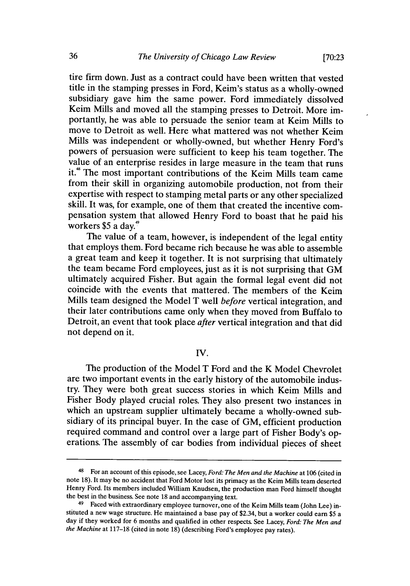tire firm down. Just as a contract could have been written that vested title in the stamping presses in Ford, Keim's status as a wholly-owned subsidiary gave him the same power. Ford immediately dissolved Keim Mills and moved all the stamping presses to Detroit. More importantly, he was able to persuade the senior team at Keim Mills to move to Detroit as well. Here what mattered was not whether Keim Mills was independent or wholly-owned, but whether Henry Ford's powers of persuasion were sufficient to keep his team together. The value of an enterprise resides in large measure in the team that runs it.<sup>48</sup> The most important contributions of the Keim Mills team came from their skill in organizing automobile production, not from their expertise with respect to stamping metal parts or any other specialized skill. It was, for example, one of them that created the incentive compensation system that allowed Henry Ford to boast that he paid his workers  $$5$  a day.<sup>49</sup>

The value of a team, however, is independent of the legal entity that employs them. Ford became rich because he was able to assemble a great team and keep it together. It is not surprising that ultimately the team became Ford employees, just as it is not surprising that GM ultimately acquired Fisher. But again the formal legal event did not coincide with the events that mattered. The members of the Keim Mills team designed the Model T well *before* vertical integration, and their later contributions came only when they moved from Buffalo to Detroit, an event that took place *after* vertical integration and that did not depend on it.

IV.

The production of the Model T Ford and the K Model Chevrolet are two important events in the early history of the automobile industry. They were both great success stories in which Keim Mills and Fisher Body played crucial roles. They also present two instances in which an upstream supplier ultimately became a wholly-owned subsidiary of its principal buyer. In the case of GM, efficient production required command and control over a large part of Fisher Body's op- erations. The assembly of car bodies from individual pieces of sheet

<sup>48</sup>For an account of this episode, see Lacey, *Ford: The Men and the Machine* at 106 (cited in note 18). It may be no accident that Ford Motor lost its primacy as the Keim Mills team deserted Henry Ford. Its members included William Knudsen, the production man Ford himself thought the best in the business. See note 18 and accompanying text.

<sup>&</sup>lt;sup>49</sup> Faced with extraordinary employee turnover, one of the Keim Mills team (John Lee) instituted a new wage structure. He maintained a base pay of \$2.34, but a worker could earn \$5 a day if they worked for 6 months and qualified in other respects. See Lacey, *Ford: The Men and the Machine* at 117-18 (cited in note 18) (describing Ford's employee pay rates).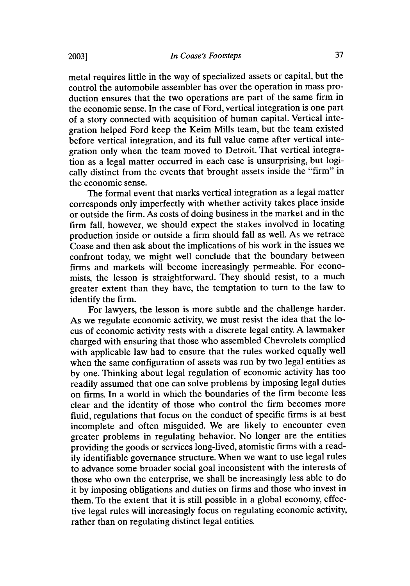metal requires little in the way of specialized assets or capital, but the control the automobile assembler has over the operation in mass production ensures that the two operations are part of the same firm in the economic sense. In the case of Ford, vertical integration is one part of a story connected with acquisition of human capital. Vertical integration helped Ford keep the Keim Mills team, but the team existed before vertical integration, and its full value came after vertical integration only when the team moved to Detroit. That vertical integration as a legal matter occurred in each case is unsurprising, but logically distinct from the events that brought assets inside the "firm" in the economic sense.

The formal event that marks vertical integration as a legal matter corresponds only imperfectly with whether activity takes place inside or outside the firm. As costs of doing business in the market and in the firm fall, however, we should expect the stakes involved in locating production inside or outside a firm should fall as well. As we retrace Coase and then ask about the implications of his work in the issues we confront today, we might well conclude that the boundary between firms and markets will become increasingly permeable. For economists, the lesson is straightforward. They should resist, to a much greater extent than they have, the temptation to turn to the law to identify the firm.

For lawyers, the lesson is more subtle and the challenge harder. As we regulate economic activity, we must resist the idea that the locus of economic activity rests with a discrete legal entity. A lawmaker charged with ensuring that those who assembled Chevrolets complied with applicable law had to ensure that the rules worked equally well when the same configuration of assets was run by two legal entities as by one. Thinking about legal regulation of economic activity has too readily assumed that one can solve problems by imposing legal duties on firms. In a world in which the boundaries of the firm become less clear and the identity of those who control the firm becomes more fluid, regulations that focus on the conduct of specific firms is at best incomplete and often misguided. We are likely to encounter even greater problems in regulating behavior. No longer are the entities providing the goods or services long-lived, atomistic firms with a readily identifiable governance structure. When we want to use legal rules to advance some broader social goal inconsistent with the interests of those who own the enterprise, we shall be increasingly less able to do it by imposing obligations and duties on firms and those who invest in them. To the extent that it is still possible in a global economy, effective legal rules will increasingly focus on regulating economic activity, rather than on regulating distinct legal entities.